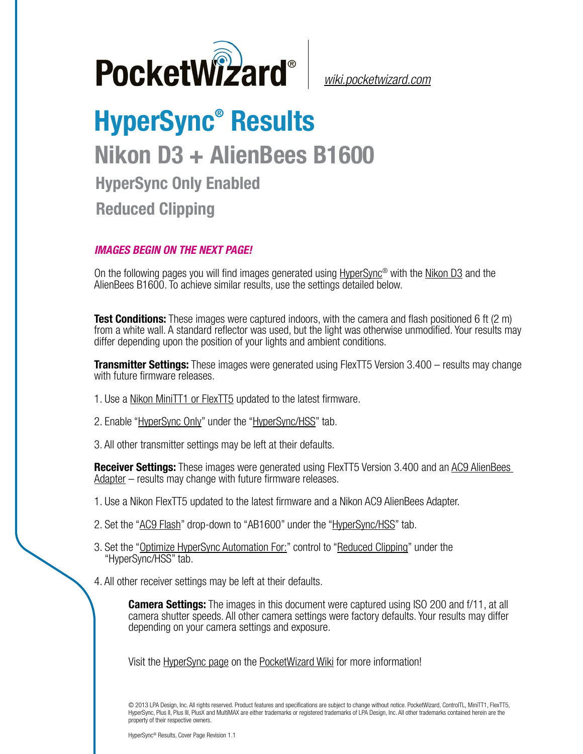

*[wiki.pocketwizard.com](http://wiki.pocketwizard.com/)*

## **HyperSync® Results Nikon D3 + AlienBees B1600 HyperSync Only Enabled Reduced Clipping**

## *IMAGES BEGIN ON THE NEXT PAGE!*

On the following pages you will find images generated using [HyperSync](http://wiki.pocketwizard.com/index.php?title=Hypersync)® with the [Nikon D3](http://wiki.pocketwizard.com/index.php?title=Nikon_D3) and the AlienBees B1600. To achieve similar results, use the settings detailed below.

**Test Conditions:** These images were captured indoors, with the camera and flash positioned 6 ft (2 m) from a white wall. A standard reflector was used, but the light was otherwise unmodified. Your results may differ depending upon the position of your lights and ambient conditions.

**Transmitter Settings:** These images were generated using FlexTT5 Version 3.400 – results may change with future firmware releases.

- 1. Use a [Nikon MiniTT1 or FlexTT5](http://wiki.pocketwizard.com/index.php?title=MiniTT1_and_FlexTT5) updated to the latest firmware.
- 2. Enable ["HyperSync Only"](http://wiki.pocketwizard.com/index.php?title=Hypersync_hss_tab#HyperSync_Only_.28Disable_HSS.2FFP.29) under the "[HyperSync/HSS"](http://wiki.pocketwizard.com/index.php?title=Hypersync_hss_tab) tab.
- 3. All other transmitter settings may be left at their defaults.

**Receiver Settings:** These images were generated using FlexTT5 Version 3.400 and an [AC9 AlienBees](http://wiki.pocketwizard.com/index.php?title=AC9_AlienBees_Adapter)  [Adapter](http://wiki.pocketwizard.com/index.php?title=AC9_AlienBees_Adapter) – results may change with future firmware releases.

- 1. Use a Nikon [FlexTT5](http://wiki.pocketwizard.com/index.php?title=Canon_MiniTT1_and_FlexTT5) updated to the latest firmware and a Nikon AC9 AlienBees Adapter.
- 2. Set the "[AC9 Flash](http://wiki.pocketwizard.com/index.php?title=HyperSync/HSS_Tab#AC9_Flash)" drop-down to "AB1600" under the ["HyperSync/HSS](http://wiki.pocketwizard.com/index.php?title=Hypersync_hss_tab)" tab.
- 3. Set the "[Optimize HyperSync Automation For:](http://wiki.pocketwizard.com/index.php?title=HyperSync/HSS_Tab#Optimize_HyperSync_Automation_For:)" control to ["Reduced Clipping"](http://wiki.pocketwizard.com/index.php?title=HyperSync/HSS_Tab#Optimize_HyperSync_Automation_For:) under the "HyperSync/HSS" tab.
- 4. All other receiver settings may be left at their defaults.

**Camera Settings:** The images in this document were captured using ISO 200 and f/11, at all camera shutter speeds. All other camera settings were factory defaults. Your results may differ depending on your camera settings and exposure.

Visit the [HyperSync page](http://wiki.pocketwizard.com/index.php?title=Hypersync) on the [PocketWizard Wiki](http://wiki.pocketwizard.com/) for more information!

© 2013 LPA Design, Inc. All rights reserved. Product features and specifications are subject to change without notice. PocketWizard, ControlTL, MiniTT1, FlexTT5, HyperSync, Plus II, Plus III, PlusX and MultiMAX are either trademarks or registered trademarks of LPA Design, Inc. All other trademarks contained herein are the property of their respective owners.

HyperSync® Results, Cover Page Revision 1.1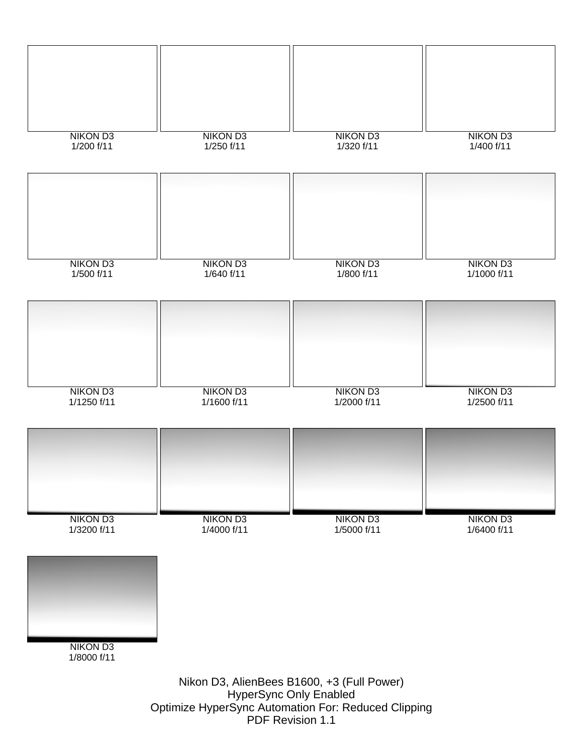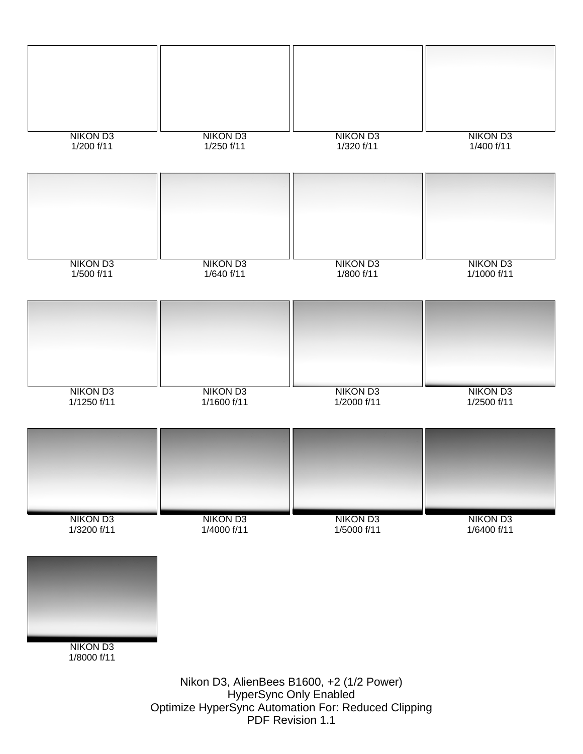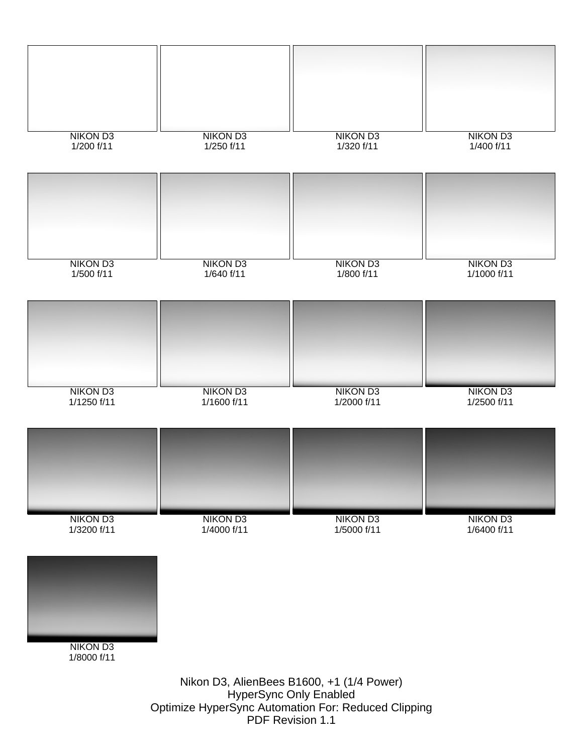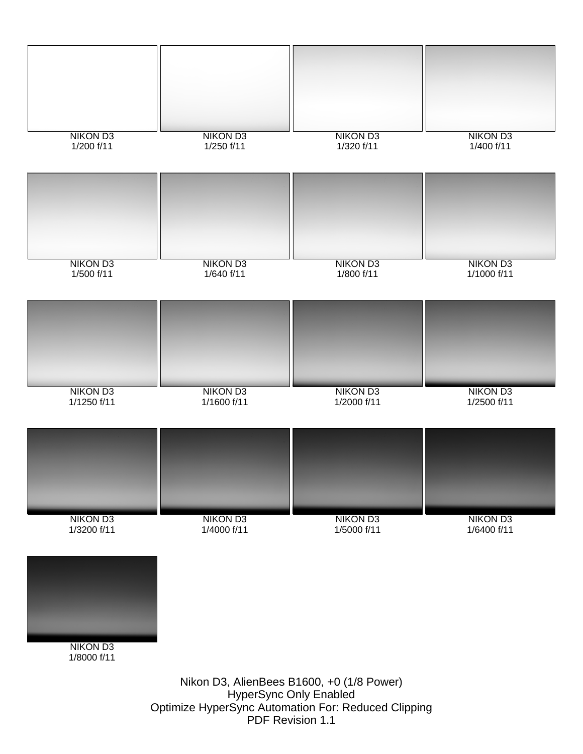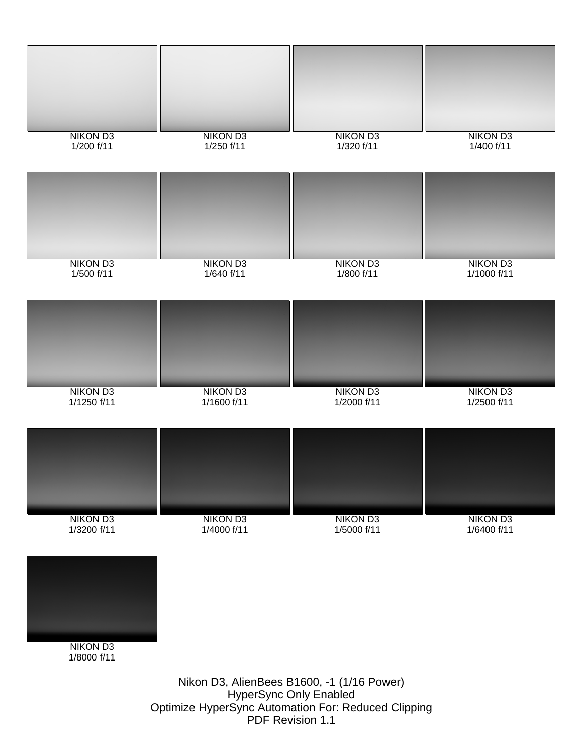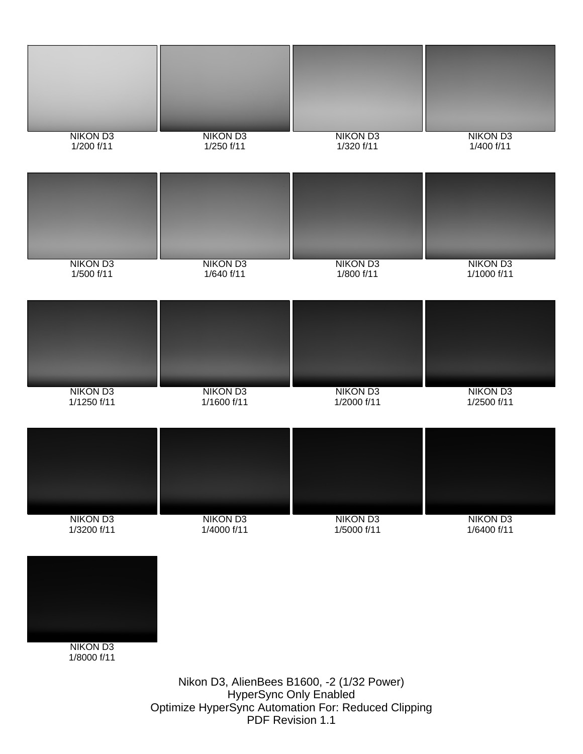